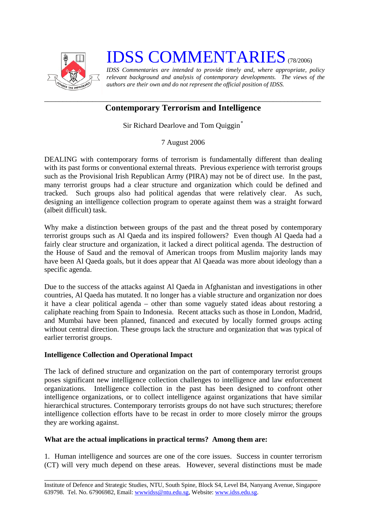

## **IDSS COMMENTARIES** (78/2006)

*IDSS Commentaries are intended to provide timely and, where appropriate, policy relevant background and analysis of contemporary developments. The views of the authors are their own and do not represent the official position of IDSS.* 

## *\_\_\_\_\_\_\_\_\_\_\_\_\_\_\_\_\_\_\_\_\_\_\_\_\_\_\_\_\_\_\_\_\_\_\_\_\_\_\_\_\_\_\_\_\_\_\_\_\_\_\_\_\_\_\_\_\_\_\_\_\_\_\_\_\_\_\_\_\_\_\_\_\_\_\_*  **Contemporary Terrorism and Intelligence**

Sir Richard Dearlove and Tom Quiggin*[\\*](#page-2-0)*

7 August 2006

DEALING with contemporary forms of terrorism is fundamentally different than dealing with its past forms or conventional external threats. Previous experience with terrorist groups such as the Provisional Irish Republican Army (PIRA) may not be of direct use. In the past, many terrorist groups had a clear structure and organization which could be defined and tracked. Such groups also had political agendas that were relatively clear. As such, designing an intelligence collection program to operate against them was a straight forward (albeit difficult) task.

Why make a distinction between groups of the past and the threat posed by contemporary terrorist groups such as Al Qaeda and its inspired followers? Even though Al Qaeda had a fairly clear structure and organization, it lacked a direct political agenda. The destruction of the House of Saud and the removal of American troops from Muslim majority lands may have been Al Qaeda goals, but it does appear that Al Qaeada was more about ideology than a specific agenda.

Due to the success of the attacks against Al Qaeda in Afghanistan and investigations in other countries, Al Qaeda has mutated. It no longer has a viable structure and organization nor does it have a clear political agenda – other than some vaguely stated ideas about restoring a caliphate reaching from Spain to Indonesia. Recent attacks such as those in London, Madrid, and Mumbai have been planned, financed and executed by locally formed groups acting without central direction. These groups lack the structure and organization that was typical of earlier terrorist groups.

## **Intelligence Collection and Operational Impact**

The lack of defined structure and organization on the part of contemporary terrorist groups poses significant new intelligence collection challenges to intelligence and law enforcement organizations. Intelligence collection in the past has been designed to confront other intelligence organizations, or to collect intelligence against organizations that have similar hierarchical structures. Contemporary terrorists groups do not have such structures; therefore intelligence collection efforts have to be recast in order to more closely mirror the groups they are working against.

## **What are the actual implications in practical terms? Among them are:**

1. Human intelligence and sources are one of the core issues. Success in counter terrorism (CT) will very much depend on these areas. However, several distinctions must be made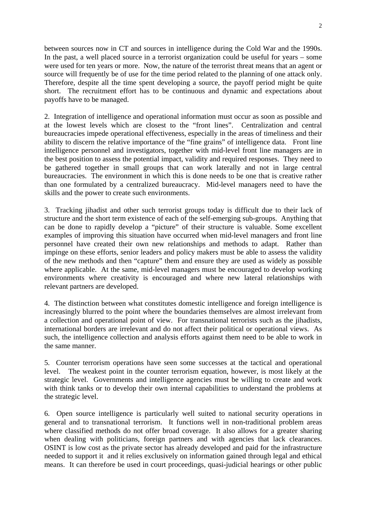between sources now in CT and sources in intelligence during the Cold War and the 1990s. In the past, a well placed source in a terrorist organization could be useful for years – some were used for ten years or more. Now, the nature of the terrorist threat means that an agent or source will frequently be of use for the time period related to the planning of one attack only. Therefore, despite all the time spent developing a source, the payoff period might be quite short. The recruitment effort has to be continuous and dynamic and expectations about payoffs have to be managed.

2. Integration of intelligence and operational information must occur as soon as possible and at the lowest levels which are closest to the "front lines". Centralization and central bureaucracies impede operational effectiveness, especially in the areas of timeliness and their ability to discern the relative importance of the "fine grains" of intelligence data. Front line intelligence personnel and investigators, together with mid-level front line managers are in the best position to assess the potential impact, validity and required responses. They need to be gathered together in small groups that can work laterally and not in large central bureaucracies. The environment in which this is done needs to be one that is creative rather than one formulated by a centralized bureaucracy. Mid-level managers need to have the skills and the power to create such environments.

3. Tracking jihadist and other such terrorist groups today is difficult due to their lack of structure and the short term existence of each of the self-emerging sub-groups. Anything that can be done to rapidly develop a "picture" of their structure is valuable. Some excellent examples of improving this situation have occurred when mid-level managers and front line personnel have created their own new relationships and methods to adapt. Rather than impinge on these efforts, senior leaders and policy makers must be able to assess the validity of the new methods and then "capture" them and ensure they are used as widely as possible where applicable. At the same, mid-level managers must be encouraged to develop working environments where creativity is encouraged and where new lateral relationships with relevant partners are developed.

4. The distinction between what constitutes domestic intelligence and foreign intelligence is increasingly blurred to the point where the boundaries themselves are almost irrelevant from a collection and operational point of view. For transnational terrorists such as the jihadists, international borders are irrelevant and do not affect their political or operational views. As such, the intelligence collection and analysis efforts against them need to be able to work in the same manner.

5. Counter terrorism operations have seen some successes at the tactical and operational level. The weakest point in the counter terrorism equation, however, is most likely at the strategic level. Governments and intelligence agencies must be willing to create and work with think tanks or to develop their own internal capabilities to understand the problems at the strategic level.

6. Open source intelligence is particularly well suited to national security operations in general and to transnational terrorism. It functions well in non-traditional problem areas where classified methods do not offer broad coverage. It also allows for a greater sharing when dealing with politicians, foreign partners and with agencies that lack clearances. OSINT is low cost as the private sector has already developed and paid for the infrastructure needed to support it and it relies exclusively on information gained through legal and ethical means. It can therefore be used in court proceedings, quasi-judicial hearings or other public